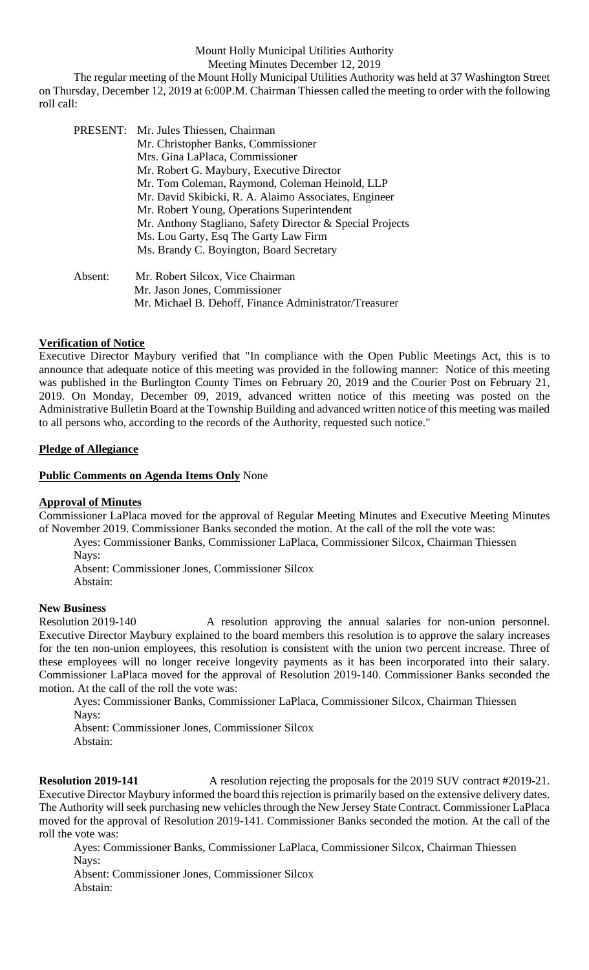#### Mount Holly Municipal Utilities Authority Meeting Minutes December 12, 2019

The regular meeting of the Mount Holly Municipal Utilities Authority was held at 37 Washington Street on Thursday, December 12, 2019 at 6:00P.M. Chairman Thiessen called the meeting to order with the following roll call:

|         | PRESENT: Mr. Jules Thiessen, Chairman                     |
|---------|-----------------------------------------------------------|
|         | Mr. Christopher Banks, Commissioner                       |
|         | Mrs. Gina LaPlaca, Commissioner                           |
|         | Mr. Robert G. Maybury, Executive Director                 |
|         | Mr. Tom Coleman, Raymond, Coleman Heinold, LLP            |
|         | Mr. David Skibicki, R. A. Alaimo Associates, Engineer     |
|         | Mr. Robert Young, Operations Superintendent               |
|         | Mr. Anthony Stagliano, Safety Director & Special Projects |
|         | Ms. Lou Garty, Esq The Garty Law Firm                     |
|         | Ms. Brandy C. Boyington, Board Secretary                  |
| Absent: | Mr. Robert Silcox, Vice Chairman                          |
|         | Mr. Jason Jones, Commissioner                             |
|         | Mr. Michael B. Dehoff, Finance Administrator/Treasurer    |

### **Verification of Notice**

Executive Director Maybury verified that "In compliance with the Open Public Meetings Act, this is to announce that adequate notice of this meeting was provided in the following manner: Notice of this meeting was published in the Burlington County Times on February 20, 2019 and the Courier Post on February 21, 2019. On Monday, December 09, 2019, advanced written notice of this meeting was posted on the Administrative Bulletin Board at the Township Building and advanced written notice of this meeting was mailed to all persons who, according to the records of the Authority, requested such notice."

### **Pledge of Allegiance**

### **Public Comments on Agenda Items Only** None

# **Approval of Minutes**

Commissioner LaPlaca moved for the approval of Regular Meeting Minutes and Executive Meeting Minutes of November 2019. Commissioner Banks seconded the motion. At the call of the roll the vote was:

Ayes: Commissioner Banks, Commissioner LaPlaca, Commissioner Silcox, Chairman Thiessen Nays:

Absent: Commissioner Jones, Commissioner Silcox Abstain:

### **New Business**

Resolution 2019-140 A resolution approving the annual salaries for non-union personnel. Executive Director Maybury explained to the board members this resolution is to approve the salary increases for the ten non-union employees, this resolution is consistent with the union two percent increase. Three of these employees will no longer receive longevity payments as it has been incorporated into their salary. Commissioner LaPlaca moved for the approval of Resolution 2019-140. Commissioner Banks seconded the motion. At the call of the roll the vote was:

Ayes: Commissioner Banks, Commissioner LaPlaca, Commissioner Silcox, Chairman Thiessen Nays:

Absent: Commissioner Jones, Commissioner Silcox Abstain:

**Resolution 2019-141** A resolution rejecting the proposals for the 2019 SUV contract #2019-21. Executive Director Maybury informed the board this rejection is primarily based on the extensive delivery dates. The Authority will seek purchasing new vehicles through the New Jersey State Contract. Commissioner LaPlaca moved for the approval of Resolution 2019-141. Commissioner Banks seconded the motion. At the call of the roll the vote was:

Ayes: Commissioner Banks, Commissioner LaPlaca, Commissioner Silcox, Chairman Thiessen Nays:

Absent: Commissioner Jones, Commissioner Silcox Abstain: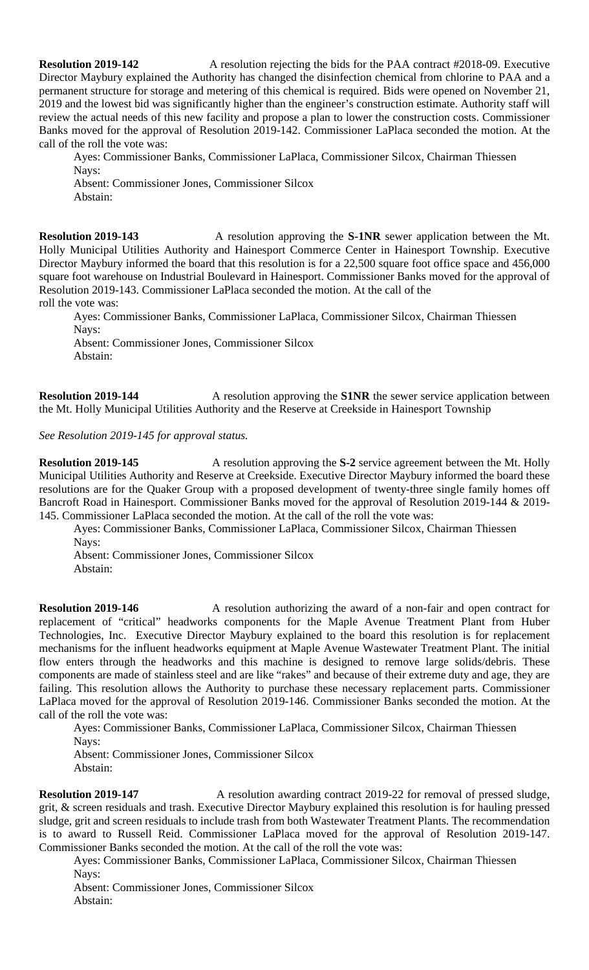**Resolution 2019-142** A resolution rejecting the bids for the PAA contract #2018-09. Executive Director Maybury explained the Authority has changed the disinfection chemical from chlorine to PAA and a permanent structure for storage and metering of this chemical is required. Bids were opened on November 21, 2019 and the lowest bid was significantly higher than the engineer's construction estimate. Authority staff will review the actual needs of this new facility and propose a plan to lower the construction costs. Commissioner Banks moved for the approval of Resolution 2019-142. Commissioner LaPlaca seconded the motion. At the call of the roll the vote was:

Ayes: Commissioner Banks, Commissioner LaPlaca, Commissioner Silcox, Chairman Thiessen Navs:

Absent: Commissioner Jones, Commissioner Silcox Abstain:

**Resolution 2019-143** A resolution approving the **S-1NR** sewer application between the Mt. Holly Municipal Utilities Authority and Hainesport Commerce Center in Hainesport Township. Executive Director Maybury informed the board that this resolution is for a 22,500 square foot office space and 456,000 square foot warehouse on Industrial Boulevard in Hainesport. Commissioner Banks moved for the approval of Resolution 2019-143. Commissioner LaPlaca seconded the motion. At the call of the roll the vote was:

Ayes: Commissioner Banks, Commissioner LaPlaca, Commissioner Silcox, Chairman Thiessen Nays:

Absent: Commissioner Jones, Commissioner Silcox Abstain:

**Resolution 2019-144** A resolution approving the **S1NR** the sewer service application between the Mt. Holly Municipal Utilities Authority and the Reserve at Creekside in Hainesport Township

*See Resolution 2019-145 for approval status.*

**Resolution 2019-145** A resolution approving the S-2 service agreement between the Mt. Holly Municipal Utilities Authority and Reserve at Creekside. Executive Director Maybury informed the board these resolutions are for the Quaker Group with a proposed development of twenty-three single family homes off Bancroft Road in Hainesport. Commissioner Banks moved for the approval of Resolution 2019-144 & 2019- 145. Commissioner LaPlaca seconded the motion. At the call of the roll the vote was:

Ayes: Commissioner Banks, Commissioner LaPlaca, Commissioner Silcox, Chairman Thiessen Nays:

Absent: Commissioner Jones, Commissioner Silcox Abstain:

**Resolution 2019-146** A resolution authorizing the award of a non-fair and open contract for replacement of "critical" headworks components for the Maple Avenue Treatment Plant from Huber Technologies, Inc. Executive Director Maybury explained to the board this resolution is for replacement mechanisms for the influent headworks equipment at Maple Avenue Wastewater Treatment Plant. The initial flow enters through the headworks and this machine is designed to remove large solids/debris. These components are made of stainless steel and are like "rakes" and because of their extreme duty and age, they are failing. This resolution allows the Authority to purchase these necessary replacement parts. Commissioner LaPlaca moved for the approval of Resolution 2019-146. Commissioner Banks seconded the motion. At the call of the roll the vote was:

Ayes: Commissioner Banks, Commissioner LaPlaca, Commissioner Silcox, Chairman Thiessen Navs:

Absent: Commissioner Jones, Commissioner Silcox Abstain:

**Resolution 2019-147** A resolution awarding contract 2019-22 for removal of pressed sludge, grit, & screen residuals and trash. Executive Director Maybury explained this resolution is for hauling pressed sludge, grit and screen residuals to include trash from both Wastewater Treatment Plants. The recommendation is to award to Russell Reid. Commissioner LaPlaca moved for the approval of Resolution 2019-147. Commissioner Banks seconded the motion. At the call of the roll the vote was:

Ayes: Commissioner Banks, Commissioner LaPlaca, Commissioner Silcox, Chairman Thiessen Nays:

Absent: Commissioner Jones, Commissioner Silcox Abstain: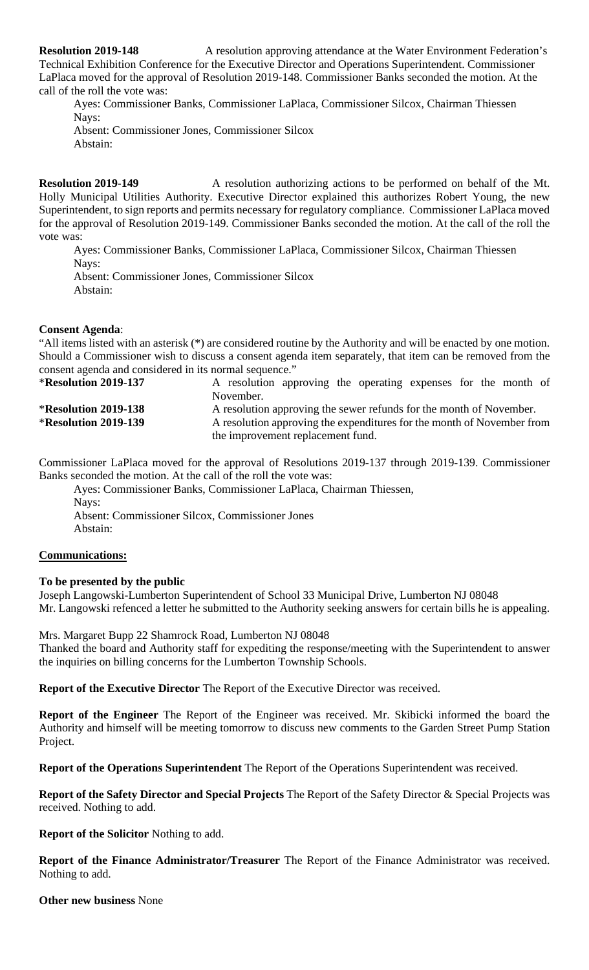**Resolution 2019-148** A resolution approving attendance at the Water Environment Federation's Technical Exhibition Conference for the Executive Director and Operations Superintendent. Commissioner LaPlaca moved for the approval of Resolution 2019-148. Commissioner Banks seconded the motion. At the call of the roll the vote was:

Ayes: Commissioner Banks, Commissioner LaPlaca, Commissioner Silcox, Chairman Thiessen Navs: Absent: Commissioner Jones, Commissioner Silcox

Abstain:

**Resolution 2019-149** A resolution authorizing actions to be performed on behalf of the Mt. Holly Municipal Utilities Authority. Executive Director explained this authorizes Robert Young, the new Superintendent, to sign reports and permits necessary for regulatory compliance. Commissioner LaPlaca moved for the approval of Resolution 2019-149. Commissioner Banks seconded the motion. At the call of the roll the vote was:

Ayes: Commissioner Banks, Commissioner LaPlaca, Commissioner Silcox, Chairman Thiessen Nays:

Absent: Commissioner Jones, Commissioner Silcox Abstain:

# **Consent Agenda**:

"All items listed with an asterisk (\*) are considered routine by the Authority and will be enacted by one motion. Should a Commissioner wish to discuss a consent agenda item separately, that item can be removed from the consent agenda and considered in its normal sequence."

| <b>*Resolution 2019-137</b> | A resolution approving the operating expenses for the month of         |
|-----------------------------|------------------------------------------------------------------------|
|                             | November.                                                              |
| <b>*Resolution 2019-138</b> | A resolution approving the sewer refunds for the month of November.    |
| <b>*Resolution 2019-139</b> | A resolution approving the expenditures for the month of November from |
|                             | the improvement replacement fund.                                      |

Commissioner LaPlaca moved for the approval of Resolutions 2019-137 through 2019-139. Commissioner Banks seconded the motion. At the call of the roll the vote was:

Ayes: Commissioner Banks, Commissioner LaPlaca, Chairman Thiessen, Nays: Absent: Commissioner Silcox, Commissioner Jones Abstain:

# **Communications:**

### **To be presented by the public**

Joseph Langowski-Lumberton Superintendent of School 33 Municipal Drive, Lumberton NJ 08048 Mr. Langowski refenced a letter he submitted to the Authority seeking answers for certain bills he is appealing.

Mrs. Margaret Bupp 22 Shamrock Road, Lumberton NJ 08048

Thanked the board and Authority staff for expediting the response/meeting with the Superintendent to answer the inquiries on billing concerns for the Lumberton Township Schools.

**Report of the Executive Director** The Report of the Executive Director was received.

**Report of the Engineer** The Report of the Engineer was received. Mr. Skibicki informed the board the Authority and himself will be meeting tomorrow to discuss new comments to the Garden Street Pump Station Project.

**Report of the Operations Superintendent** The Report of the Operations Superintendent was received.

**Report of the Safety Director and Special Projects** The Report of the Safety Director & Special Projects was received. Nothing to add.

**Report of the Solicitor** Nothing to add.

**Report of the Finance Administrator/Treasurer** The Report of the Finance Administrator was received. Nothing to add.

**Other new business** None